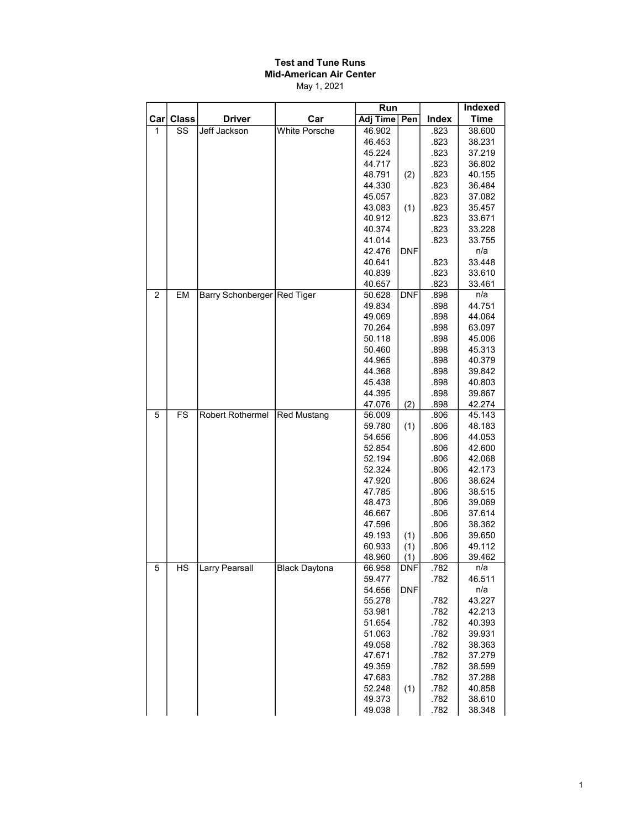#### Test and Tune Runs Mid-American Air Center May 1, 2021

|                |              |                             |                      | Run              |            |              | <b>Indexed</b>   |
|----------------|--------------|-----------------------------|----------------------|------------------|------------|--------------|------------------|
| $\textsf{Car}$ | <b>Class</b> | <b>Driver</b>               | Car                  | <b>Adj Time</b>  | Pen        | Index        | <b>Time</b>      |
| 1              | SS           | Jeff Jackson                | <b>White Porsche</b> | 46.902           |            | .823         | 38.600           |
|                |              |                             |                      | 46.453           |            | .823         | 38.231           |
|                |              |                             |                      | 45.224           |            | .823         | 37.219           |
|                |              |                             |                      | 44.717           |            | .823         | 36.802           |
|                |              |                             |                      | 48.791           | (2)        | .823         | 40.155           |
|                |              |                             |                      | 44.330           |            | .823         | 36.484           |
|                |              |                             |                      | 45.057           |            | .823         | 37.082           |
|                |              |                             |                      | 43.083           | (1)        | .823         | 35.457           |
|                |              |                             |                      | 40.912           |            | .823         | 33.671           |
|                |              |                             |                      | 40.374           |            | .823         | 33.228           |
|                |              |                             |                      | 41.014           |            | .823         | 33.755           |
|                |              |                             |                      | 42.476           | <b>DNF</b> |              | n/a              |
|                |              |                             |                      | 40.641           |            | .823         | 33.448           |
|                |              |                             |                      | 40.839           |            | .823         | 33.610           |
|                |              |                             |                      | 40.657           |            | .823         | 33.461           |
| $\overline{2}$ | <b>EM</b>    | Barry Schonberger Red Tiger |                      | 50.628           | <b>DNF</b> | .898         | n/a              |
|                |              |                             |                      | 49.834           |            | .898         | 44.751           |
|                |              |                             |                      | 49.069<br>70.264 |            | .898<br>.898 | 44.064<br>63.097 |
|                |              |                             |                      | 50.118           |            | .898         | 45.006           |
|                |              |                             |                      | 50.460           |            | .898         | 45.313           |
|                |              |                             |                      | 44.965           |            | .898         | 40.379           |
|                |              |                             |                      | 44.368           |            | .898         | 39.842           |
|                |              |                             |                      | 45.438           |            | .898         | 40.803           |
|                |              |                             |                      | 44.395           |            | .898         | 39.867           |
|                |              |                             |                      | 47.076           | (2)        | .898         | 42.274           |
| 5              | <b>FS</b>    | Robert Rothermel            | <b>Red Mustang</b>   | 56.009           |            | .806         | 45.143           |
|                |              |                             |                      | 59.780           | (1)        | .806         | 48.183           |
|                |              |                             |                      | 54.656           |            | .806         | 44.053           |
|                |              |                             |                      | 52.854           |            | .806         | 42.600           |
|                |              |                             |                      | 52.194           |            | .806         | 42.068           |
|                |              |                             |                      | 52.324           |            | .806         | 42.173           |
|                |              |                             |                      | 47.920           |            | .806         | 38.624           |
|                |              |                             |                      | 47.785           |            | .806         | 38.515           |
|                |              |                             |                      | 48.473           |            | .806         | 39.069           |
|                |              |                             |                      | 46.667           |            | .806         | 37.614           |
|                |              |                             |                      | 47.596           |            | .806         | 38.362           |
|                |              |                             |                      | 49.193<br>60.933 | (1)        | .806<br>.806 | 39.650<br>49.112 |
|                |              |                             |                      | 48.960           | (1)<br>(1) | .806         | 39.462           |
| 5              | HS           | Larry Pearsall              | <b>Black Daytona</b> | 66.958           | DNF        | .782         | n/a              |
|                |              |                             |                      | 59.477           |            | .782         | 46.511           |
|                |              |                             |                      | 54.656           | <b>DNF</b> |              | n/a              |
|                |              |                             |                      | 55.278           |            | .782         | 43.227           |
|                |              |                             |                      | 53.981           |            | .782         | 42.213           |
|                |              |                             |                      | 51.654           |            | .782         | 40.393           |
|                |              |                             |                      | 51.063           |            | .782         | 39.931           |
|                |              |                             |                      | 49.058           |            | .782         | 38.363           |
|                |              |                             |                      | 47.671           |            | .782         | 37.279           |
|                |              |                             |                      | 49.359           |            | .782         | 38.599           |
|                |              |                             |                      | 47.683           |            | .782         | 37.288           |
|                |              |                             |                      | 52.248           | (1)        | .782         | 40.858           |
|                |              |                             |                      | 49.373           |            | .782         | 38.610           |
|                |              |                             |                      | 49.038           |            | .782         | 38.348           |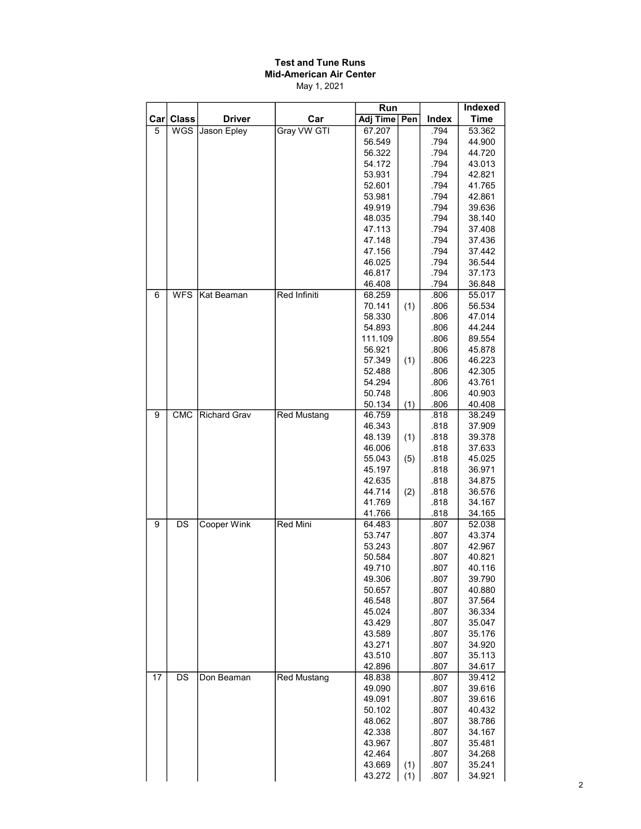# Test and Tune Runs Mid-American Air Center

May 1, 2021

|                |              |                     |                    | Run             |     |              | <b>Indexed</b> |
|----------------|--------------|---------------------|--------------------|-----------------|-----|--------------|----------------|
| $\mathtt{Car}$ | <b>Class</b> | <b>Driver</b>       | Car                | <b>Adj Time</b> | Pen | Index        | <b>Time</b>    |
| 5              | <b>WGS</b>   | Jason Epley         | Gray VW GTI        | 67.207          |     | .794         | 53.362         |
|                |              |                     |                    | 56.549          |     | .794         | 44.900         |
|                |              |                     |                    | 56.322          |     | .794         | 44.720         |
|                |              |                     |                    | 54.172          |     | .794         | 43.013         |
|                |              |                     |                    | 53.931          |     | .794         | 42.821         |
|                |              |                     |                    | 52.601          |     | .794         | 41.765         |
|                |              |                     |                    | 53.981          |     | .794         | 42.861         |
|                |              |                     |                    | 49.919          |     | .794         | 39.636         |
|                |              |                     |                    | 48.035          |     | .794         | 38.140         |
|                |              |                     |                    | 47.113          |     | .794         | 37.408         |
|                |              |                     |                    | 47.148          |     | .794         | 37.436         |
|                |              |                     |                    | 47.156          |     | .794         | 37.442         |
|                |              |                     |                    | 46.025          |     | .794         | 36.544         |
|                |              |                     |                    | 46.817          |     | .794         | 37.173         |
|                |              |                     |                    | 46.408          |     | .794         | 36.848         |
| 6              | <b>WFS</b>   | Kat Beaman          | Red Infiniti       | 68.259          |     | .806         | 55.017         |
|                |              |                     |                    | 70.141          | (1) | .806         | 56.534         |
|                |              |                     |                    | 58.330          |     | .806         | 47.014         |
|                |              |                     |                    | 54.893          |     | .806         | 44.244         |
|                |              |                     |                    | 111.109         |     | .806         | 89.554         |
|                |              |                     |                    | 56.921          |     |              | 45.878         |
|                |              |                     |                    | 57.349          | (1) | .806<br>.806 | 46.223         |
|                |              |                     |                    | 52.488          |     | .806         | 42.305         |
|                |              |                     |                    | 54.294          |     | .806         | 43.761         |
|                |              |                     |                    |                 |     |              |                |
|                |              |                     |                    | 50.748          |     | .806         | 40.903         |
|                |              |                     |                    | 50.134          | (1) | .806         | 40.408         |
| 9              | <b>CMC</b>   | <b>Richard Grav</b> | Red Mustang        | 46.759          |     | .818         | 38.249         |
|                |              |                     |                    | 46.343          |     | .818         | 37.909         |
|                |              |                     |                    | 48.139          | (1) | .818         | 39.378         |
|                |              |                     |                    | 46.006          |     | .818         | 37.633         |
|                |              |                     |                    | 55.043          | (5) | .818         | 45.025         |
|                |              |                     |                    | 45.197          |     | .818         | 36.971         |
|                |              |                     |                    | 42.635          |     | .818         | 34.875         |
|                |              |                     |                    | 44.714          | (2) | .818         | 36.576         |
|                |              |                     |                    | 41.769          |     | .818         | 34.167         |
|                |              |                     |                    | 41.766          |     | .818         | 34.165         |
| 9              | DS           | <b>Cooper Wink</b>  | <b>Red Mini</b>    | 64.483          |     | .807         | 52.038         |
|                |              |                     |                    | 53.747          |     | .807         | 43.374         |
|                |              |                     |                    | 53.243          |     | .807         | 42.967         |
|                |              |                     |                    | 50.584          |     | .807         | 40.821         |
|                |              |                     |                    | 49.710          |     | .807         | 40.116         |
|                |              |                     |                    | 49.306          |     | .807         | 39.790         |
|                |              |                     |                    | 50.657          |     | .807         | 40.880         |
|                |              |                     |                    | 46.548          |     | .807         | 37.564         |
|                |              |                     |                    | 45.024          |     | .807         | 36.334         |
|                |              |                     |                    | 43.429          |     | .807         | 35.047         |
|                |              |                     |                    | 43.589          |     | .807         | 35.176         |
|                |              |                     |                    | 43.271          |     | .807         | 34.920         |
|                |              |                     |                    | 43.510          |     | .807         | 35.113         |
|                |              |                     |                    | 42.896          |     | .807         | 34.617         |
| 17             | DS           | Don Beaman          | <b>Red Mustang</b> | 48.838          |     | .807         | 39.412         |
|                |              |                     |                    | 49.090          |     | .807         | 39.616         |
|                |              |                     |                    | 49.091          |     | .807         | 39.616         |
|                |              |                     |                    | 50.102          |     | .807         | 40.432         |
|                |              |                     |                    | 48.062          |     | .807         | 38.786         |
|                |              |                     |                    | 42.338          |     | .807         | 34.167         |
|                |              |                     |                    | 43.967          |     | .807         | 35.481         |
|                |              |                     |                    | 42.464          |     | .807         | 34.268         |
|                |              |                     |                    | 43.669          | (1) | .807         | 35.241         |
|                |              |                     |                    | 43.272          | (1) | .807         | 34.921         |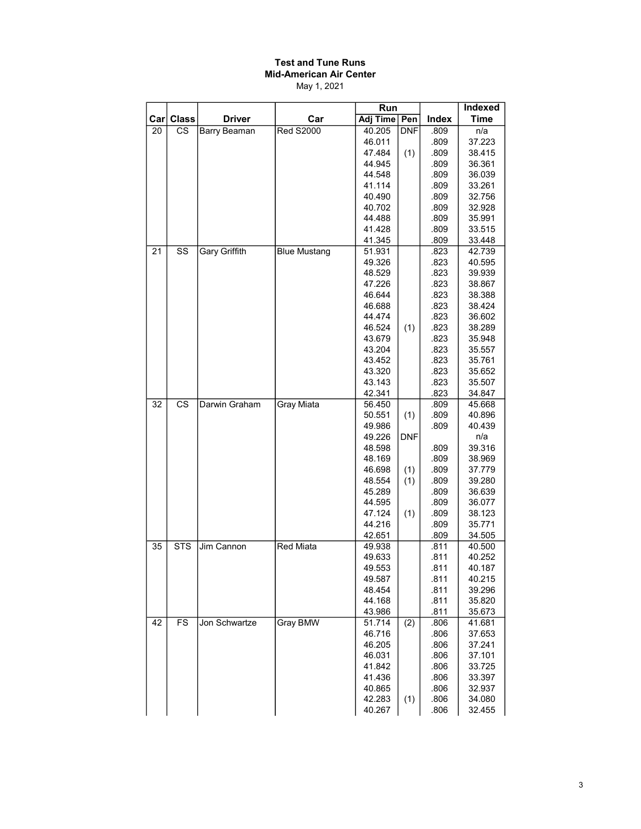## Test and Tune Runs Mid-American Air Center

May 1, 2021

|                         |              |                      |                     | Run              |            |              | Indexed          |
|-------------------------|--------------|----------------------|---------------------|------------------|------------|--------------|------------------|
| $\lfloor$ Car $\rfloor$ | <b>Class</b> | <b>Driver</b>        | Car                 | Adj Time   Pen   |            | Index        | <b>Time</b>      |
| 20                      | CS           | Barry Beaman         | <b>Red S2000</b>    | 40.205           | <b>DNF</b> | .809         | n/a              |
|                         |              |                      |                     | 46.011           |            | .809         | 37.223           |
|                         |              |                      |                     | 47.484           | (1)        | .809         | 38.415           |
|                         |              |                      |                     | 44.945           |            | .809         | 36.361           |
|                         |              |                      |                     | 44.548           |            | .809         | 36.039           |
|                         |              |                      |                     | 41.114           |            | .809         | 33.261           |
|                         |              |                      |                     | 40.490           |            | .809         | 32.756           |
|                         |              |                      |                     | 40.702           |            | .809         | 32.928           |
|                         |              |                      |                     | 44.488           |            | .809         | 35.991           |
|                         |              |                      |                     | 41.428           |            | .809         | 33.515           |
| 21                      | SS           | <b>Gary Griffith</b> | <b>Blue Mustang</b> | 41.345<br>51.931 |            | .809<br>.823 | 33.448<br>42.739 |
|                         |              |                      |                     | 49.326           |            | .823         | 40.595           |
|                         |              |                      |                     | 48.529           |            | .823         | 39.939           |
|                         |              |                      |                     | 47.226           |            | .823         | 38.867           |
|                         |              |                      |                     | 46.644           |            | .823         | 38.388           |
|                         |              |                      |                     | 46.688           |            | .823         | 38.424           |
|                         |              |                      |                     | 44.474           |            | .823         | 36.602           |
|                         |              |                      |                     | 46.524           | (1)        | .823         | 38.289           |
|                         |              |                      |                     | 43.679           |            | .823         | 35.948           |
|                         |              |                      |                     | 43.204           |            | .823         | 35.557           |
|                         |              |                      |                     | 43.452           |            | .823         | 35.761           |
|                         |              |                      |                     | 43.320           |            | .823         | 35.652           |
|                         |              |                      |                     | 43.143           |            | .823         | 35.507           |
|                         |              |                      |                     | 42.341           |            | .823         | 34.847           |
| 32                      | CS           | Darwin Graham        | Gray Miata          | 56.450           |            | .809         | 45.668           |
|                         |              |                      |                     | 50.551           | (1)        | .809         | 40.896           |
|                         |              |                      |                     | 49.986           |            | .809         | 40.439           |
|                         |              |                      |                     | 49.226           | DNF        |              | n/a              |
|                         |              |                      |                     | 48.598           |            | .809         | 39.316           |
|                         |              |                      |                     | 48.169           |            | .809         | 38.969           |
|                         |              |                      |                     | 46.698           | (1)        | .809         | 37.779           |
|                         |              |                      |                     | 48.554           | (1)        | .809         | 39.280           |
|                         |              |                      |                     | 45.289           |            | .809         | 36.639           |
|                         |              |                      |                     | 44.595           |            | .809         | 36.077           |
|                         |              |                      |                     | 47.124<br>44.216 | (1)        | .809<br>.809 | 38.123<br>35.771 |
|                         |              |                      |                     | 42.651           |            | .809         | 34.505           |
| 35                      | <b>STS</b>   | Jim Cannon           | Red Miata           | 49.938           |            | .811         | 40.500           |
|                         |              |                      |                     | 49.633           |            | .811         | 40.252           |
|                         |              |                      |                     | 49.553           |            | .811         | 40.187           |
|                         |              |                      |                     | 49.587           |            | .811         | 40.215           |
|                         |              |                      |                     | 48.454           |            | .811         | 39.296           |
|                         |              |                      |                     | 44.168           |            | .811         | 35.820           |
|                         |              |                      |                     | 43.986           |            | .811         | 35.673           |
| 42                      | <b>FS</b>    | Jon Schwartze        | Gray BMW            | 51.714           | (2)        | .806         | 41.681           |
|                         |              |                      |                     | 46.716           |            | .806         | 37.653           |
|                         |              |                      |                     | 46.205           |            | .806         | 37.241           |
|                         |              |                      |                     | 46.031           |            | .806         | 37.101           |
|                         |              |                      |                     | 41.842           |            | .806         | 33.725           |
|                         |              |                      |                     | 41.436           |            | .806         | 33.397           |
|                         |              |                      |                     | 40.865           |            | .806         | 32.937           |
|                         |              |                      |                     | 42.283           | (1)        | .806         | 34.080           |
|                         |              |                      |                     | 40.267           |            | .806         | 32.455           |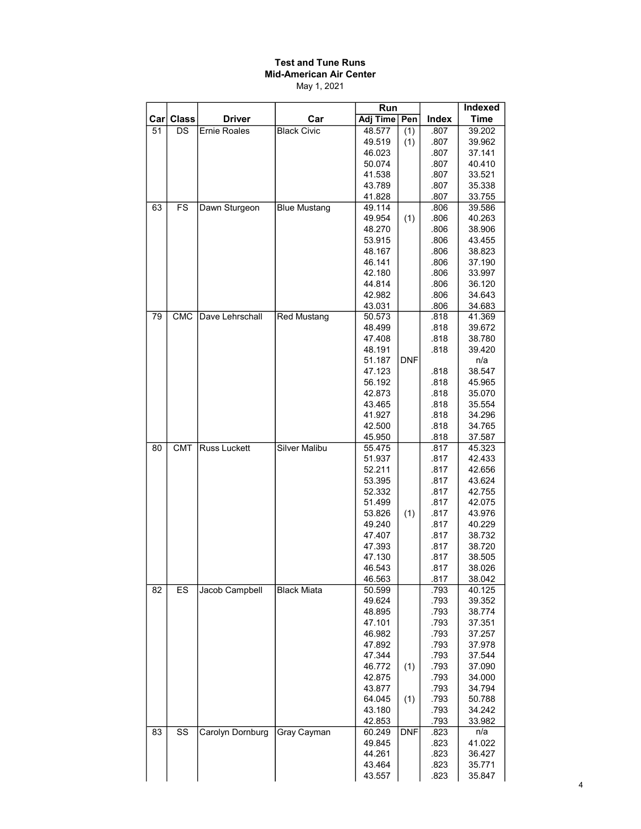#### Test and Tune Runs Mid-American Air Center May 1, 2021

|     |                        |                     |                      | Run             |            |       | Indexed     |
|-----|------------------------|---------------------|----------------------|-----------------|------------|-------|-------------|
| Car | <b>Class</b>           | <b>Driver</b>       | Car                  | <b>Adj Time</b> | Pen        | Index | <b>Time</b> |
| 51  | DS                     | <b>Ernie Roales</b> | <b>Black Civic</b>   | 48.577          | (1)        | .807  | 39.202      |
|     |                        |                     |                      | 49.519          | (1)        | .807  | 39.962      |
|     |                        |                     |                      | 46.023          |            | .807  | 37.141      |
|     |                        |                     |                      | 50.074          |            | .807  | 40.410      |
|     |                        |                     |                      | 41.538          |            | .807  | 33.521      |
|     |                        |                     |                      | 43.789          |            | .807  | 35.338      |
|     |                        |                     |                      | 41.828          |            | .807  | 33.755      |
| 63  | <b>FS</b>              | Dawn Sturgeon       | <b>Blue Mustang</b>  | 49.114          |            | .806  | 39.586      |
|     |                        |                     |                      | 49.954          | (1)        | .806  | 40.263      |
|     |                        |                     |                      | 48.270          |            | .806  | 38.906      |
|     |                        |                     |                      | 53.915          |            | .806  | 43.455      |
|     |                        |                     |                      | 48.167          |            | .806  | 38.823      |
|     |                        |                     |                      | 46.141          |            | .806  | 37.190      |
|     |                        |                     |                      | 42.180          |            | .806  | 33.997      |
|     |                        |                     |                      | 44.814          |            | .806  | 36.120      |
|     |                        |                     |                      | 42.982          |            | .806  | 34.643      |
|     |                        |                     |                      | 43.031          |            | .806  | 34.683      |
| 79  | <b>CMC</b>             | Dave Lehrschall     | <b>Red Mustang</b>   | 50.573          |            | .818  | 41.369      |
|     |                        |                     |                      | 48.499          |            | .818  | 39.672      |
|     |                        |                     |                      | 47.408          |            | .818  | 38.780      |
|     |                        |                     |                      | 48.191          |            | .818  | 39.420      |
|     |                        |                     |                      | 51.187          | <b>DNF</b> |       | n/a         |
|     |                        |                     |                      | 47.123          |            | .818  | 38.547      |
|     |                        |                     |                      | 56.192          |            | .818  | 45.965      |
|     |                        |                     |                      | 42.873          |            | .818  | 35.070      |
|     |                        |                     |                      | 43.465          |            | .818  | 35.554      |
|     |                        |                     |                      | 41.927          |            | .818  | 34.296      |
|     |                        |                     |                      | 42.500          |            | .818  | 34.765      |
|     |                        |                     |                      | 45.950          |            | .818  | 37.587      |
| 80  | <b>CMT</b>             | <b>Russ Luckett</b> | <b>Silver Malibu</b> | 55.475          |            | .817  | 45.323      |
|     |                        |                     |                      | 51.937          |            | .817  | 42.433      |
|     |                        |                     |                      | 52.211          |            | .817  | 42.656      |
|     |                        |                     |                      | 53.395          |            | .817  | 43.624      |
|     |                        |                     |                      | 52.332          |            | .817  | 42.755      |
|     |                        |                     |                      | 51.499          |            | .817  | 42.075      |
|     |                        |                     |                      | 53.826          | (1)        | .817  | 43.976      |
|     |                        |                     |                      | 49.240          |            | .817  | 40.229      |
|     |                        |                     |                      | 47.407          |            | .817  | 38.732      |
|     |                        |                     |                      | 47.393          |            | .817  | 38.720      |
|     |                        |                     |                      | 47.130          |            | .817  | 38.505      |
|     |                        |                     |                      | 46.543          |            | .817  | 38.026      |
|     |                        |                     |                      | 46.563          |            | .817  | 38.042      |
| 82  | ES                     | Jacob Campbell      | <b>Black Miata</b>   | 50.599          |            | .793  | 40.125      |
|     |                        |                     |                      | 49.624          |            | .793  | 39.352      |
|     |                        |                     |                      | 48.895          |            | .793  | 38.774      |
|     |                        |                     |                      | 47.101          |            | .793  | 37.351      |
|     |                        |                     |                      | 46.982          |            | .793  | 37.257      |
|     |                        |                     |                      | 47.892          |            | .793  | 37.978      |
|     |                        |                     |                      | 47.344          |            | .793  | 37.544      |
|     |                        |                     |                      | 46.772          | (1)        | .793  | 37.090      |
|     |                        |                     |                      | 42.875          |            | .793  | 34.000      |
|     |                        |                     |                      | 43.877          |            | .793  | 34.794      |
|     |                        |                     |                      | 64.045          | (1)        | .793  | 50.788      |
|     |                        |                     |                      | 43.180          |            | .793  | 34.242      |
|     |                        |                     |                      | 42.853          |            | .793  | 33.982      |
| 83  | $\overline{\text{ss}}$ | Carolyn Dornburg    | Gray Cayman          | 60.249          | <b>DNF</b> | .823  | n/a         |
|     |                        |                     |                      | 49.845          |            | .823  | 41.022      |
|     |                        |                     |                      | 44.261          |            | .823  | 36.427      |
|     |                        |                     |                      | 43.464          |            | .823  | 35.771      |
|     |                        |                     |                      | 43.557          |            | .823  | 35.847      |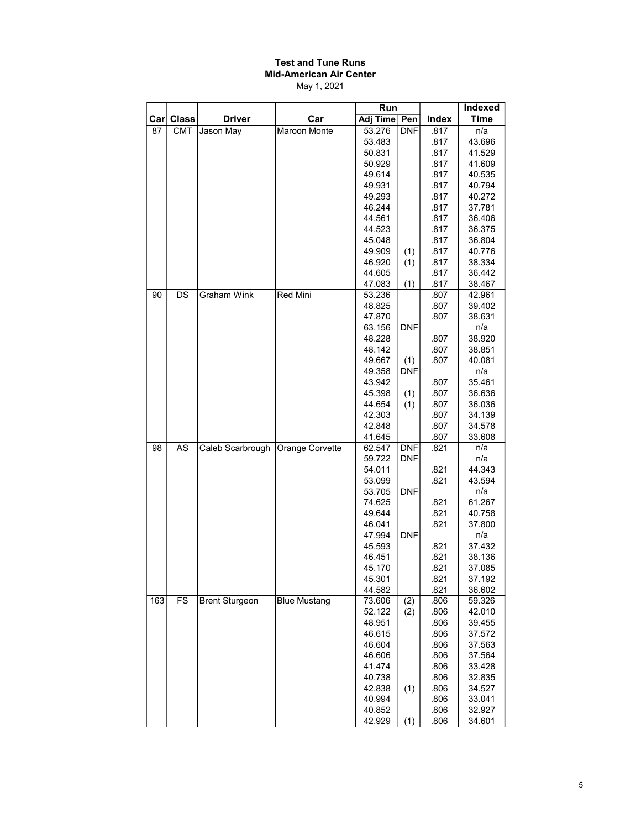## Test and Tune Runs Mid-American Air Center

May 1, 2021

|      |                 |                       |                        | Run              |            |              | Indexed          |
|------|-----------------|-----------------------|------------------------|------------------|------------|--------------|------------------|
| Carl | <b>Class</b>    | <b>Driver</b>         | Car                    | Adj Time   Pen   |            | Index        | <b>Time</b>      |
| 87   | <b>CMT</b>      | Jason May             | <b>Maroon Monte</b>    | 53.276           | <b>DNF</b> | .817         | n/a              |
|      |                 |                       |                        | 53.483           |            | .817         | 43.696           |
|      |                 |                       |                        | 50.831           |            | .817         | 41.529           |
|      |                 |                       |                        | 50.929           |            | .817         | 41.609           |
|      |                 |                       |                        | 49.614           |            | .817         | 40.535           |
|      |                 |                       |                        | 49.931           |            | .817         | 40.794           |
|      |                 |                       |                        | 49.293           |            | .817         | 40.272           |
|      |                 |                       |                        | 46.244           |            | .817         | 37.781           |
|      |                 |                       |                        | 44.561           |            | .817         | 36.406           |
|      |                 |                       |                        | 44.523<br>45.048 |            | .817<br>.817 | 36.375           |
|      |                 |                       |                        | 49.909           | (1)        | .817         | 36.804<br>40.776 |
|      |                 |                       |                        | 46.920           | (1)        | .817         | 38.334           |
|      |                 |                       |                        | 44.605           |            | .817         | 36.442           |
|      |                 |                       |                        | 47.083           | (1)        | .817         | 38.467           |
| 90   | DS              | <b>Graham Wink</b>    | Red Mini               | 53.236           |            | .807         | 42.961           |
|      |                 |                       |                        | 48.825           |            | .807         | 39.402           |
|      |                 |                       |                        | 47.870           |            | .807         | 38.631           |
|      |                 |                       |                        | 63.156           | <b>DNF</b> |              | n/a              |
|      |                 |                       |                        | 48.228           |            | .807         | 38.920           |
|      |                 |                       |                        | 48.142           |            | .807         | 38.851           |
|      |                 |                       |                        | 49.667           | (1)        | .807         | 40.081           |
|      |                 |                       |                        | 49.358           | <b>DNF</b> |              | n/a              |
|      |                 |                       |                        | 43.942           |            | .807         | 35.461           |
|      |                 |                       |                        | 45.398           | (1)        | .807         | 36.636           |
|      |                 |                       |                        | 44.654           | (1)        | .807         | 36.036           |
|      |                 |                       |                        | 42.303           |            | .807         | 34.139           |
|      |                 |                       |                        | 42.848           |            | .807         | 34.578           |
|      |                 |                       |                        | 41.645           |            | .807         | 33.608           |
| 98   | $\overline{AS}$ | Caleb Scarbrough      | <b>Orange Corvette</b> | 62.547           | <b>DNF</b> | .821         | n/a              |
|      |                 |                       |                        | 59.722           | <b>DNF</b> |              | n/a              |
|      |                 |                       |                        | 54.011           |            | .821         | 44.343<br>43.594 |
|      |                 |                       |                        | 53.099<br>53.705 | <b>DNF</b> | .821         | n/a              |
|      |                 |                       |                        | 74.625           |            | .821         | 61.267           |
|      |                 |                       |                        | 49.644           |            | .821         | 40.758           |
|      |                 |                       |                        | 46.041           |            | .821         | 37.800           |
|      |                 |                       |                        | 47.994           | <b>DNF</b> |              | n/a              |
|      |                 |                       |                        | 45.593           |            | .821         | 37.432           |
|      |                 |                       |                        | 46.451           |            | .821         | 38.136           |
|      |                 |                       |                        | 45.170           |            | .821         | 37.085           |
|      |                 |                       |                        | 45.301           |            | .821         | 37.192           |
|      |                 |                       |                        | 44.582           |            | .821         | 36.602           |
| 163  | FS              | <b>Brent Sturgeon</b> | <b>Blue Mustang</b>    | 73.606           | (2)        | .806         | 59.326           |
|      |                 |                       |                        | 52.122           | (2)        | .806         | 42.010           |
|      |                 |                       |                        | 48.951           |            | .806         | 39.455           |
|      |                 |                       |                        | 46.615           |            | .806         | 37.572           |
|      |                 |                       |                        | 46.604           |            | .806         | 37.563           |
|      |                 |                       |                        | 46.606           |            | .806         | 37.564           |
|      |                 |                       |                        | 41.474           |            | .806         | 33.428           |
|      |                 |                       |                        | 40.738           |            | .806         | 32.835           |
|      |                 |                       |                        | 42.838           | (1)        | .806         | 34.527           |
|      |                 |                       |                        | 40.994           |            | .806         | 33.041           |
|      |                 |                       |                        | 40.852           |            | .806         | 32.927           |
|      |                 |                       |                        | 42.929           | (1)        | .806         | 34.601           |